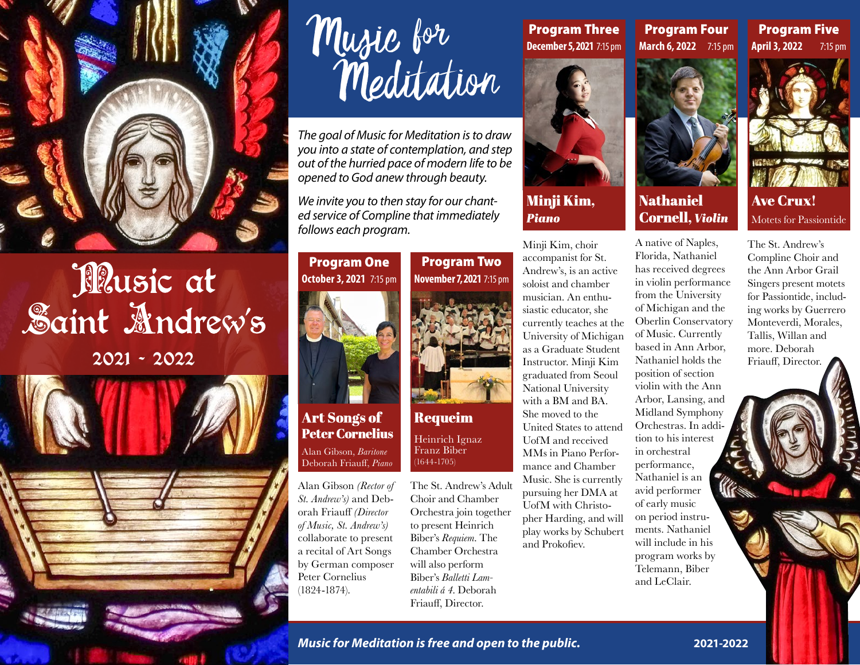

# **Illusic** at Saint Andrew's

2021 - 2022



Music for Meditation

*The goal of Music for Meditation is to draw you into a state of contemplation, and step out of the hurried pace of modern life to be opened to God anew through beauty.* 

*We invite you to then stay for our chanted service of Compline that immediately follows each program.*

Program One **October 3, 2021** 7:15 pm



#### Art Songs of Peter Cornelius

Alan Gibson, *Baritone* Deborah Friauff, *Piano*

Alan Gibson *(Rector of St. Andrew's)* and Deborah Friauff *(Director of Music, St. Andrew's)* collaborate to present a recital of Art Songs by German composer Peter Cornelius (1824-1874).

Program Two **November 7, 2021** 7:15 pm



Requeim Heinrich Ignaz Franz Biber (1644-1705)

The St. Andrew's Adult Choir and Chamber Orchestra join together to present Heinrich Biber's *Requiem*. The Chamber Orchestra will also perform Biber's *Balletti Lamentabili á 4*. Deborah Friauff, Director.

Program Three **December 5, 2021** 7:15 pm

Minji Kim, *Piano*

Minji Kim, choir accompanist for St. Andrew's, is an active soloist and chamber musician. An enthusiastic educator, she currently teaches at the University of Michigan as a Graduate Student Instructor. Minji Kim graduated from Seoul National University with a BM and BA. She moved to the United States to attend UofM and received MMs in Piano Performance and Chamber Music. She is currently pursuing her DMA at UofM with Christopher Harding, and will play works by Schubert and Prokofiev.

Program Four **March 6, 2022** 7:15 pm

Program Five **April 3, 2022** 7:15 pm



Cornell, *Violin*

A native of Naples, Florida, Nathaniel has received degrees in violin performance from the University of Michigan and the Oberlin Conservatory of Music. Currently based in Ann Arbor, Nathaniel holds the position of section violin with the Ann Arbor, Lansing, and Midland Symphony Orchestras. In addition to his interest in orchestral performance, Nathaniel is an avid performer of early music on period instruments. Nathaniel will include in his program works by Telemann, Biber and LeClair.

The St. Andrew's Compline Choir and the Ann Arbor Grail Singers present motets for Passiontide, including works by Guerrero Monteverdi, Morales, Tallis, Willan and more. Deborah Friauff, Director.

Motets for Passiontide

*Music for Meditation is free and open to the public.* **2021-2022**